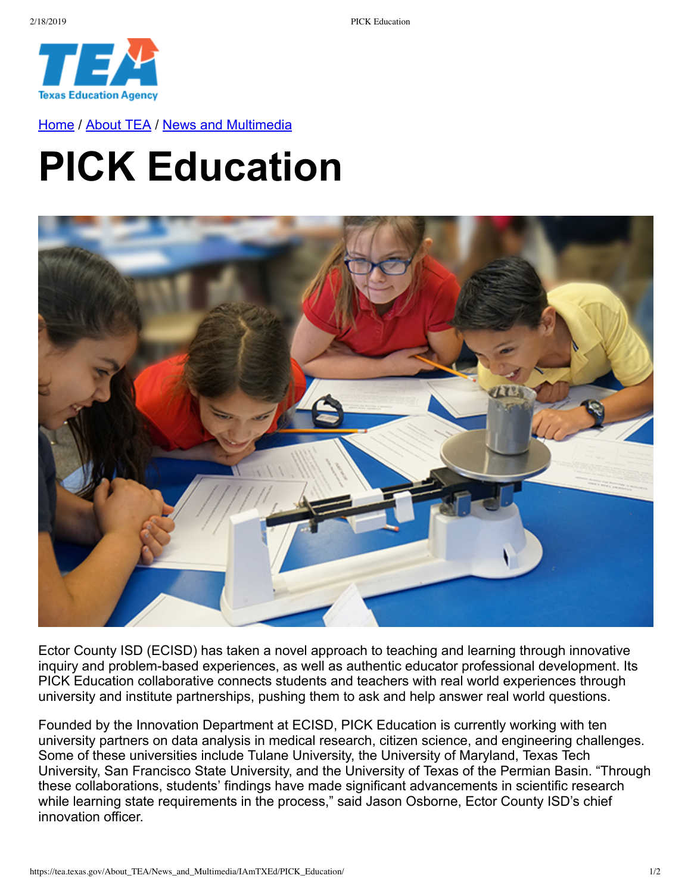

[Home](https://tea.texas.gov/) / [About TEA](https://tea.texas.gov/About_TEA/) / [News and Multimedia](https://tea.texas.gov/About_TEA/News_and_Multimedia/)

## **PICK Education**



Ector County ISD (ECISD) has taken a novel approach to teaching and learning through innovative inquiry and problem-based experiences, as well as authentic educator professional development. Its PICK Education collaborative connects students and teachers with real world experiences through university and institute partnerships, pushing them to ask and help answer real world questions.

Founded by the Innovation Department at ECISD, PICK Education is currently working with ten university partners on data analysis in medical research, citizen science, and engineering challenges. Some of these universities include Tulane University, the University of Maryland, Texas Tech University, San Francisco State University, and the University of Texas of the Permian Basin. "Through these collaborations, students' findings have made significant advancements in scientific research while learning state requirements in the process," said Jason Osborne, Ector County ISD's chief innovation officer.